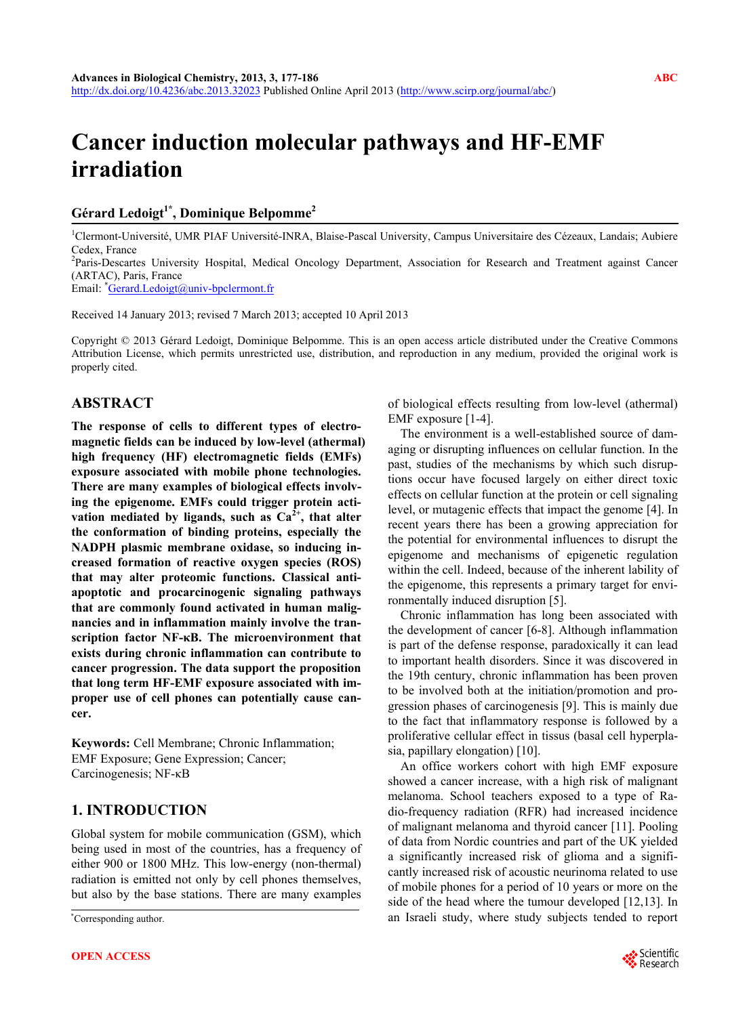# **Cancer induction molecular pathways and HF-EMF irradiation**

#### Gérard Ledoigt<sup>1\*</sup>, Dominique Belpomme<sup>2</sup>

<sup>1</sup>Clermont-Université, UMR PIAF Université-INRA, Blaise-Pascal University, Campus Universitaire des Cézeaux, Landais; Aubiere Cedex, France

<sup>2</sup>Paris-Descartes University Hospital, Medical Oncology Department, Association for Research and Treatment against Cancer (ARTAC), Paris, France

Email: <sup>\*</sup>[Gerard.Ledoigt@univ-bpclermont.fr](mailto:Gerard.Ledoigt@univ-bpclermont.fr)

Received 14 January 2013; revised 7 March 2013; accepted 10 April 2013

Copyright © 2013 Gérard Ledoigt, Dominique Belpomme. This is an open access article distributed under the Creative Commons Attribution License, which permits unrestricted use, distribution, and reproduction in any medium, provided the original work is properly cited.

## **ABSTRACT**

**The response of cells to different types of electromagnetic fields can be induced by low-level (athermal) high frequency (HF) electromagnetic fields (EMFs) exposure associated with mobile phone technologies. There are many examples of biological effects involving the epigenome. EMFs could trigger protein acti**vation mediated by ligands, such as  $Ca<sup>2+</sup>$ , that alter **the conformation of binding proteins, especially the NADPH plasmic membrane oxidase, so inducing increased formation of reactive oxygen species (ROS) that may alter proteomic functions. Classical antiapoptotic and procarcinogenic signaling pathways that are commonly found activated in human malignancies and in inflammation mainly involve the transcription factor NF-κB. The microenvironment that exists during chronic inflammation can contribute to cancer progression. The data support the proposition that long term HF-EMF exposure associated with improper use of cell phones can potentially cause cancer.** 

**Keywords:** Cell Membrane; Chronic Inflammation; EMF Exposure; Gene Expression; Cancer; Carcinogenesis; NF-κB

## **1. INTRODUCTION**

Global system for mobile communication (GSM), which being used in most of the countries, has a frequency of either 900 or 1800 MHz. This low-energy (non-thermal) radiation is emitted not only by cell phones themselves, but also by the base stations. There are many examples

Corresponding author.

of biological effects resulting from low-level (athermal) EMF exposure [1-4].

The environment is a well-established source of damaging or disrupting influences on cellular function. In the past, studies of the mechanisms by which such disruptions occur have focused largely on either direct toxic effects on cellular function at the protein or cell signaling level, or mutagenic effects that impact the genome [4]. In recent years there has been a growing appreciation for the potential for environmental influences to disrupt the epigenome and mechanisms of epigenetic regulation within the cell. Indeed, because of the inherent lability of the epigenome, this represents a primary target for environmentally induced disruption [5].

Chronic inflammation has long been associated with the development of cancer [6-8]. Although inflammation is part of the defense response, paradoxically it can lead to important health disorders. Since it was discovered in the 19th century, chronic inflammation has been proven to be involved both at the initiation/promotion and progression phases of carcinogenesis [9]. This is mainly due to the fact that inflammatory response is followed by a proliferative cellular effect in tissus (basal cell hyperplasia, papillary elongation) [10].

An office workers cohort with high EMF exposure showed a cancer increase, with a high risk of malignant melanoma. School teachers exposed to a type of Radio-frequency radiation (RFR) had increased incidence of malignant melanoma and thyroid cancer [11]. Pooling of data from Nordic countries and part of the UK yielded a significantly increased risk of glioma and a significantly increased risk of acoustic neurinoma related to use of mobile phones for a period of 10 years or more on the side of the head where the tumour developed [12,13]. In an Israeli study, where study subjects tended to report \*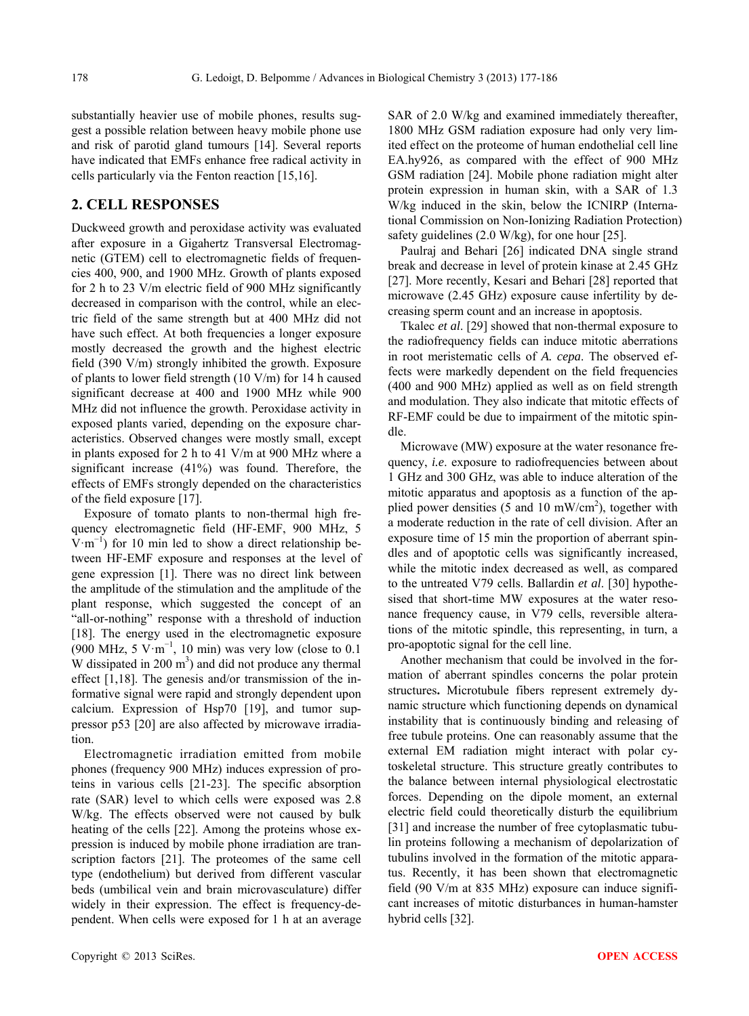substantially heavier use of mobile phones, results suggest a possible relation between heavy mobile phone use and risk of parotid gland tumours [14]. Several reports have indicated that EMFs enhance free radical activity in cells particularly via the Fenton reaction [15,16].

## **2. CELL RESPONSES**

Duckweed growth and peroxidase activity was evaluated after exposure in a Gigahertz Transversal Electromagnetic (GTEM) cell to electromagnetic fields of frequencies 400, 900, and 1900 MHz. Growth of plants exposed for 2 h to 23 V/m electric field of 900 MHz significantly decreased in comparison with the control, while an electric field of the same strength but at 400 MHz did not have such effect. At both frequencies a longer exposure mostly decreased the growth and the highest electric field (390 V/m) strongly inhibited the growth. Exposure of plants to lower field strength (10 V/m) for 14 h caused significant decrease at 400 and 1900 MHz while 900 MHz did not influence the growth. Peroxidase activity in exposed plants varied, depending on the exposure characteristics. Observed changes were mostly small, except in plants exposed for 2 h to 41 V/m at 900 MHz where a significant increase (41%) was found. Therefore, the effects of EMFs strongly depended on the characteristics of the field exposure [17].

Exposure of tomato plants to non-thermal high frequency electromagnetic field (HF-EMF, 900 MHz, 5 V·m<sup>−</sup><sup>1</sup> ) for 10 min led to show a direct relationship between HF-EMF exposure and responses at the level of gene expression [1]. There was no direct link between the amplitude of the stimulation and the amplitude of the plant response, which suggested the concept of an "all-or-nothing" response with a threshold of induction [18]. The energy used in the electromagnetic exposure (900 MHz, 5 V·m<sup>-1</sup>, 10 min) was very low (close to 0.1 W dissipated in  $200 \text{ m}^3$ ) and did not produce any thermal effect [1,18]. The genesis and/or transmission of the informative signal were rapid and strongly dependent upon calcium. Expression of Hsp70 [19], and tumor suppressor p53 [20] are also affected by microwave irradiation.

Electromagnetic irradiation emitted from mobile phones (frequency 900 MHz) induces expression of proteins in various cells [21-23]. The specific absorption rate (SAR) level to which cells were exposed was 2.8 W/kg. The effects observed were not caused by bulk heating of the cells [22]. Among the proteins whose expression is induced by mobile phone irradiation are transcription factors [21]. The proteomes of the same cell type (endothelium) but derived from different vascular beds (umbilical vein and brain microvasculature) differ widely in their expression. The effect is frequency-dependent. When cells were exposed for 1 h at an average SAR of 2.0 W/kg and examined immediately thereafter, 1800 MHz GSM radiation exposure had only very limited effect on the proteome of human endothelial cell line EA.hy926, as compared with the effect of 900 MHz GSM radiation [24]. Mobile phone radiation might alter protein expression in human skin, with a SAR of 1.3 W/kg induced in the skin, below the ICNIRP (International Commission on Non-Ionizing Radiation Protection) safety guidelines (2.0 W/kg), for one hour [25].

Paulraj and Behari [26] indicated DNA single strand break and decrease in level of protein kinase at 2.45 GHz [27]. More recently, Kesari and Behari [28] reported that microwave (2.45 GHz) exposure cause infertility by decreasing sperm count and an increase in apoptosis.

Tkalec *et al*. [29] showed that non-thermal exposure to the radiofrequency fields can induce mitotic aberrations in root meristematic cells of *A. cepa*. The observed effects were markedly dependent on the field frequencies (400 and 900 MHz) applied as well as on field strength and modulation. They also indicate that mitotic effects of RF-EMF could be due to impairment of the mitotic spindle.

Microwave (MW) exposure at the water resonance frequency, *i.e*. exposure to radiofrequencies between about 1 GHz and 300 GHz, was able to induce alteration of the mitotic apparatus and apoptosis as a function of the applied power densities (5 and 10 mW/cm<sup>2</sup>), together with a moderate reduction in the rate of cell division. After an exposure time of 15 min the proportion of aberrant spindles and of apoptotic cells was significantly increased, while the mitotic index decreased as well, as compared to the untreated V79 cells. Ballardin *et al*. [30] hypothesised that short-time MW exposures at the water resonance frequency cause, in V79 cells, reversible alterations of the mitotic spindle, this representing, in turn, a pro-apoptotic signal for the cell line.

Another mechanism that could be involved in the formation of aberrant spindles concerns the polar protein structures**.** Microtubule fibers represent extremely dynamic structure which functioning depends on dynamical instability that is continuously binding and releasing of free tubule proteins. One can reasonably assume that the external EM radiation might interact with polar cytoskeletal structure. This structure greatly contributes to the balance between internal physiological electrostatic forces. Depending on the dipole moment, an external electric field could theoretically disturb the equilibrium [31] and increase the number of free cytoplasmatic tubulin proteins following a mechanism of depolarization of tubulins involved in the formation of the mitotic apparatus. Recently, it has been shown that electromagnetic field (90 V/m at 835 MHz) exposure can induce significant increases of mitotic disturbances in human-hamster hybrid cells [32].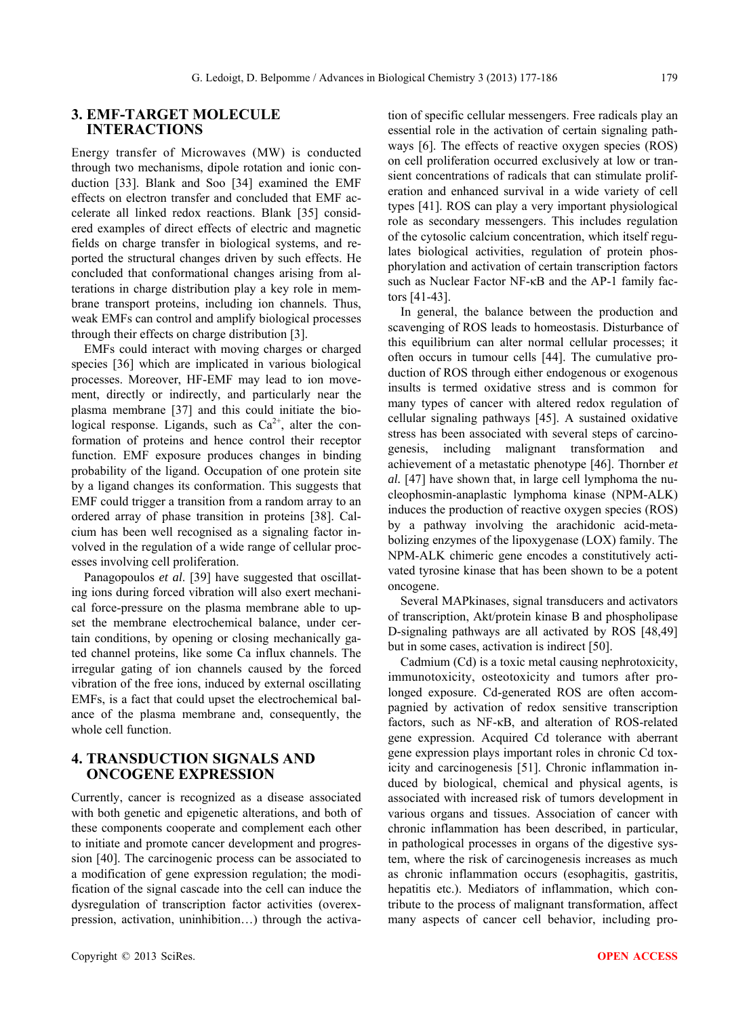## **3. EMF-TARGET MOLECULE INTERACTIONS**

Energy transfer of Microwaves (MW) is conducted through two mechanisms, dipole rotation and ionic conduction [33]. Blank and Soo [34] examined the EMF effects on electron transfer and concluded that EMF accelerate all linked redox reactions. Blank [35] considered examples of direct effects of electric and magnetic fields on charge transfer in biological systems, and reported the structural changes driven by such effects. He concluded that conformational changes arising from alterations in charge distribution play a key role in membrane transport proteins, including ion channels. Thus, weak EMFs can control and amplify biological processes through their effects on charge distribution [3].

EMFs could interact with moving charges or charged species [36] which are implicated in various biological processes. Moreover, HF-EMF may lead to ion movement, directly or indirectly, and particularly near the plasma membrane [37] and this could initiate the biological response. Ligands, such as  $Ca^{2+}$ , alter the conformation of proteins and hence control their receptor function. EMF exposure produces changes in binding probability of the ligand. Occupation of one protein site by a ligand changes its conformation. This suggests that EMF could trigger a transition from a random array to an ordered array of phase transition in proteins [38]. Calcium has been well recognised as a signaling factor involved in the regulation of a wide range of cellular processes involving cell proliferation.

Panagopoulos *et al*. [39] have suggested that oscillating ions during forced vibration will also exert mechanical force-pressure on the plasma membrane able to upset the membrane electrochemical balance, under certain conditions, by opening or closing mechanically gated channel proteins, like some Ca influx channels. The irregular gating of ion channels caused by the forced vibration of the free ions, induced by external oscillating EMFs, is a fact that could upset the electrochemical balance of the plasma membrane and, consequently, the whole cell function.

# **4. TRANSDUCTION SIGNALS AND ONCOGENE EXPRESSION**

Currently, cancer is recognized as a disease associated with both genetic and epigenetic alterations, and both of these components cooperate and complement each other to initiate and promote cancer development and progression [40]. The carcinogenic process can be associated to a modification of gene expression regulation; the modification of the signal cascade into the cell can induce the dysregulation of transcription factor activities (overexpression, activation, uninhibition…) through the activa-

tion of specific cellular messengers. Free radicals play an essential role in the activation of certain signaling pathways [6]. The effects of reactive oxygen species (ROS) on cell proliferation occurred exclusively at low or transient concentrations of radicals that can stimulate proliferation and enhanced survival in a wide variety of cell types [41]. ROS can play a very important physiological role as secondary messengers. This includes regulation of the cytosolic calcium concentration, which itself regulates biological activities, regulation of protein phosphorylation and activation of certain transcription factors such as Nuclear Factor NF-κB and the AP-1 family factors [41-43].

In general, the balance between the production and scavenging of ROS leads to homeostasis. Disturbance of this equilibrium can alter normal cellular processes; it often occurs in tumour cells [44]. The cumulative production of ROS through either endogenous or exogenous insults is termed oxidative stress and is common for many types of cancer with altered redox regulation of cellular signaling pathways [45]. A sustained oxidative stress has been associated with several steps of carcinogenesis, including malignant transformation and achievement of a metastatic phenotype [46]. Thornber *et al.* [47] have shown that, in large cell lymphoma the nucleophosmin-anaplastic lymphoma kinase (NPM-ALK) induces the production of reactive oxygen species (ROS) by a pathway involving the arachidonic acid-metabolizing enzymes of the lipoxygenase (LOX) family. The NPM-ALK chimeric gene encodes a constitutively activated tyrosine kinase that has been shown to be a potent oncogene.

Several MAPkinases, signal transducers and activators of transcription, Akt/protein kinase B and phospholipase D-signaling pathways are all activated by ROS [48,49] but in some cases, activation is indirect [50].

Cadmium (Cd) is a toxic metal causing nephrotoxicity, immunotoxicity, osteotoxicity and tumors after prolonged exposure. Cd-generated ROS are often accompagnied by activation of redox sensitive transcription factors, such as NF-κB, and alteration of ROS-related gene expression. Acquired Cd tolerance with aberrant gene expression plays important roles in chronic Cd toxicity and carcinogenesis [51]. Chronic inflammation induced by biological, chemical and physical agents, is associated with increased risk of tumors development in various organs and tissues. Association of cancer with chronic inflammation has been described, in particular, in pathological processes in organs of the digestive system, where the risk of carcinogenesis increases as much as chronic inflammation occurs (esophagitis, gastritis, hepatitis etc.). Mediators of inflammation, which contribute to the process of malignant transformation, affect many aspects of cancer cell behavior, including pro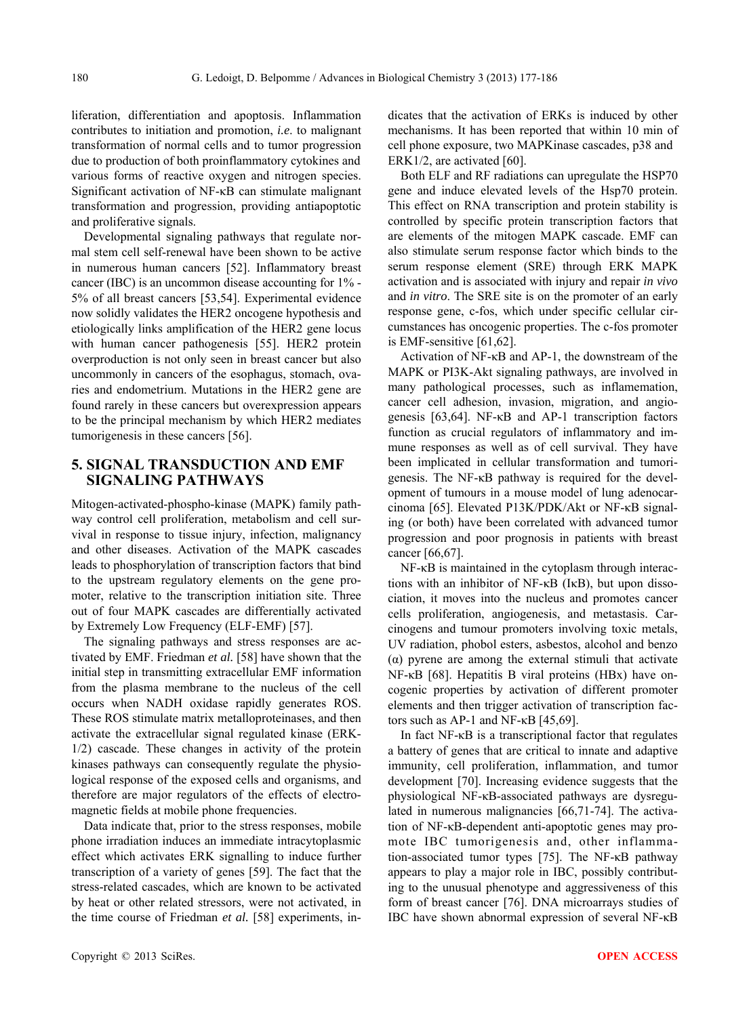liferation, differentiation and apoptosis. Inflammation contributes to initiation and promotion, *i.e*. to malignant transformation of normal cells and to tumor progression due to production of both proinflammatory cytokines and various forms of reactive oxygen and nitrogen species. Significant activation of NF-κB can stimulate malignant transformation and progression, providing antiapoptotic and proliferative signals.

Developmental signaling pathways that regulate normal stem cell self-renewal have been shown to be active in numerous human cancers [52]. Inflammatory breast cancer (IBC) is an uncommon disease accounting for 1% - 5% of all breast cancers [53,54]. Experimental evidence now solidly validates the HER2 oncogene hypothesis and etiologically links amplification of the HER2 gene locus with human cancer pathogenesis [55]. HER2 protein overproduction is not only seen in breast cancer but also uncommonly in cancers of the esophagus, stomach, ovaries and endometrium. Mutations in the HER2 gene are found rarely in these cancers but overexpression appears to be the principal mechanism by which HER2 mediates tumorigenesis in these cancers [56].

## **5. SIGNAL TRANSDUCTION AND EMF SIGNALING PATHWAYS**

Mitogen-activated-phospho-kinase (MAPK) family pathway control cell proliferation, metabolism and cell survival in response to tissue injury, infection, malignancy and other diseases. Activation of the MAPK cascades leads to phosphorylation of transcription factors that bind to the upstream regulatory elements on the gene promoter, relative to the transcription initiation site. Three out of four MAPK cascades are differentially activated by Extremely Low Frequency (ELF-EMF) [57].

The signaling pathways and stress responses are activated by EMF. Friedman *et al.* [58] have shown that the initial step in transmitting extracellular EMF information from the plasma membrane to the nucleus of the cell occurs when NADH oxidase rapidly generates ROS. These ROS stimulate matrix metalloproteinases, and then activate the extracellular signal regulated kinase (ERK-1/2) cascade. These changes in activity of the protein kinases pathways can consequently regulate the physiological response of the exposed cells and organisms, and therefore are major regulators of the effects of electromagnetic fields at mobile phone frequencies.

Data indicate that, prior to the stress responses, mobile phone irradiation induces an immediate intracytoplasmic effect which activates ERK signalling to induce further transcription of a variety of genes [59]. The fact that the stress-related cascades, which are known to be activated by heat or other related stressors, were not activated, in the time course of Friedman *et al.* [58] experiments, indicates that the activation of ERKs is induced by other mechanisms. It has been reported that within 10 min of cell phone exposure, two MAPKinase cascades, p38 and ERK1/2, are activated [60].

Both ELF and RF radiations can upregulate the HSP70 gene and induce elevated levels of the Hsp70 protein. This effect on RNA transcription and protein stability is controlled by specific protein transcription factors that are elements of the mitogen MAPK cascade. EMF can also stimulate serum response factor which binds to the serum response element (SRE) through ERK MAPK activation and is associated with injury and repair *in vivo*  and *in vitro*. The SRE site is on the promoter of an early response gene, c-fos, which under specific cellular circumstances has oncogenic properties. The c-fos promoter is EMF-sensitive [61,62].

Activation of NF-κB and AP-1, the downstream of the MAPK or PI3K-Akt signaling pathways, are involved in many pathological processes, such as inflamemation, cancer cell adhesion, invasion, migration, and angiogenesis [63,64]. NF-κB and AP-1 transcription factors function as crucial regulators of inflammatory and immune responses as well as of cell survival. They have been implicated in cellular transformation and tumorigenesis. The NF-κB pathway is required for the development of tumours in a mouse model of lung adenocarcinoma [65]. Elevated P13K/PDK/Akt or NF-κB signaling (or both) have been correlated with advanced tumor progression and poor prognosis in patients with breast cancer [66,67].

NF-κB is maintained in the cytoplasm through interactions with an inhibitor of NF-κB (IκB), but upon dissociation, it moves into the nucleus and promotes cancer cells proliferation, angiogenesis, and metastasis. Carcinogens and tumour promoters involving toxic metals, UV radiation, phobol esters, asbestos, alcohol and benzo (α) pyrene are among the external stimuli that activate NF-κB [68]. Hepatitis B viral proteins (HBx) have oncogenic properties by activation of different promoter elements and then trigger activation of transcription factors such as AP-1 and NF-κB [45,69].

In fact NF-κB is a transcriptional factor that regulates a battery of genes that are critical to innate and adaptive immunity, cell proliferation, inflammation, and tumor development [70]. Increasing evidence suggests that the physiological NF-κB-associated pathways are dysregulated in numerous malignancies [66,71-74]. The activation of NF-κB-dependent anti-apoptotic genes may promote IBC tumorigenesis and, other inflammation-associated tumor types [75]. The NF-κB pathway appears to play a major role in IBC, possibly contributing to the unusual phenotype and aggressiveness of this form of breast cancer [76]. DNA microarrays studies of IBC have shown abnormal expression of several NF-κB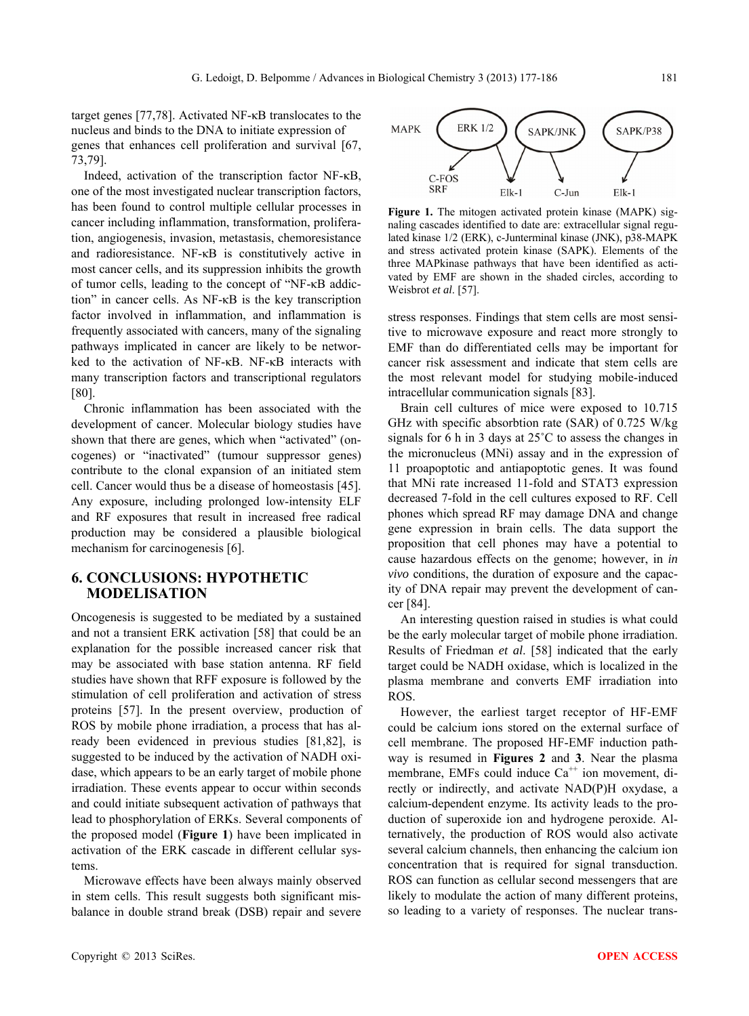target genes [77,78]. Activated NF-κB translocates to the nucleus and binds to the DNA to initiate expression of genes that enhances cell proliferation and survival [67, 73,79].

Indeed, activation of the transcription factor NF-κB, one of the most investigated nuclear transcription factors, has been found to control multiple cellular processes in cancer including inflammation, transformation, proliferation, angiogenesis, invasion, metastasis, chemoresistance and radioresistance. NF-κB is constitutively active in most cancer cells, and its suppression inhibits the growth of tumor cells, leading to the concept of "NF-κB addiction" in cancer cells. As NF-κB is the key transcription factor involved in inflammation, and inflammation is frequently associated with cancers, many of the signaling pathways implicated in cancer are likely to be networked to the activation of NF-κB. NF-κB interacts with many transcription factors and transcriptional regulators [80].

Chronic inflammation has been associated with the development of cancer. Molecular biology studies have shown that there are genes, which when "activated" (oncogenes) or "inactivated" (tumour suppressor genes) contribute to the clonal expansion of an initiated stem cell. Cancer would thus be a disease of homeostasis [45]. Any exposure, including prolonged low-intensity ELF and RF exposures that result in increased free radical production may be considered a plausible biological mechanism for carcinogenesis [6].

#### **6. CONCLUSIONS: HYPOTHETIC MODELISATION**

Oncogenesis is suggested to be mediated by a sustained and not a transient ERK activation [58] that could be an explanation for the possible increased cancer risk that may be associated with base station antenna. RF field studies have shown that RFF exposure is followed by the stimulation of cell proliferation and activation of stress proteins [57]. In the present overview, production of ROS by mobile phone irradiation, a process that has already been evidenced in previous studies [81,82], is suggested to be induced by the activation of NADH oxidase, which appears to be an early target of mobile phone irradiation. These events appear to occur within seconds and could initiate subsequent activation of pathways that lead to phosphorylation of ERKs. Several components of the proposed model (**Figure 1**) have been implicated in activation of the ERK cascade in different cellular systems.

Microwave effects have been always mainly observed in stem cells. This result suggests both significant misbalance in double strand break (DSB) repair and severe



Figure 1. The mitogen activated protein kinase (MAPK) signaling cascades identified to date are: extracellular signal regulated kinase 1/2 (ERK), c-Junterminal kinase (JNK), p38-MAPK and stress activated protein kinase (SAPK). Elements of the three MAPkinase pathways that have been identified as activated by EMF are shown in the shaded circles, according to Weisbrot *et al*. [57].

stress responses. Findings that stem cells are most sensitive to microwave exposure and react more strongly to EMF than do differentiated cells may be important for cancer risk assessment and indicate that stem cells are the most relevant model for studying mobile-induced intracellular communication signals [83].

Brain cell cultures of mice were exposed to 10.715 GHz with specific absorbtion rate (SAR) of 0.725 W/kg signals for 6 h in 3 days at 25˚C to assess the changes in the micronucleus (MNi) assay and in the expression of 11 proapoptotic and antiapoptotic genes. It was found that MNi rate increased 11-fold and STAT3 expression decreased 7-fold in the cell cultures exposed to RF. Cell phones which spread RF may damage DNA and change gene expression in brain cells. The data support the proposition that cell phones may have a potential to cause hazardous effects on the genome; however, in *in vivo* conditions, the duration of exposure and the capacity of DNA repair may prevent the development of cancer [84].

An interesting question raised in studies is what could be the early molecular target of mobile phone irradiation. Results of Friedman *et al*. [58] indicated that the early target could be NADH oxidase, which is localized in the plasma membrane and converts EMF irradiation into ROS.

However, the earliest target receptor of HF-EMF could be calcium ions stored on the external surface of cell membrane. The proposed HF-EMF induction pathway is resumed in **Figures 2** and **3**. Near the plasma membrane, EMFs could induce  $Ca^{++}$  ion movement, directly or indirectly, and activate NAD(P)H oxydase, a calcium-dependent enzyme. Its activity leads to the production of superoxide ion and hydrogene peroxide. Alternatively, the production of ROS would also activate several calcium channels, then enhancing the calcium ion concentration that is required for signal transduction. ROS can function as cellular second messengers that are likely to modulate the action of many different proteins, so leading to a variety of responses. The nuclear trans-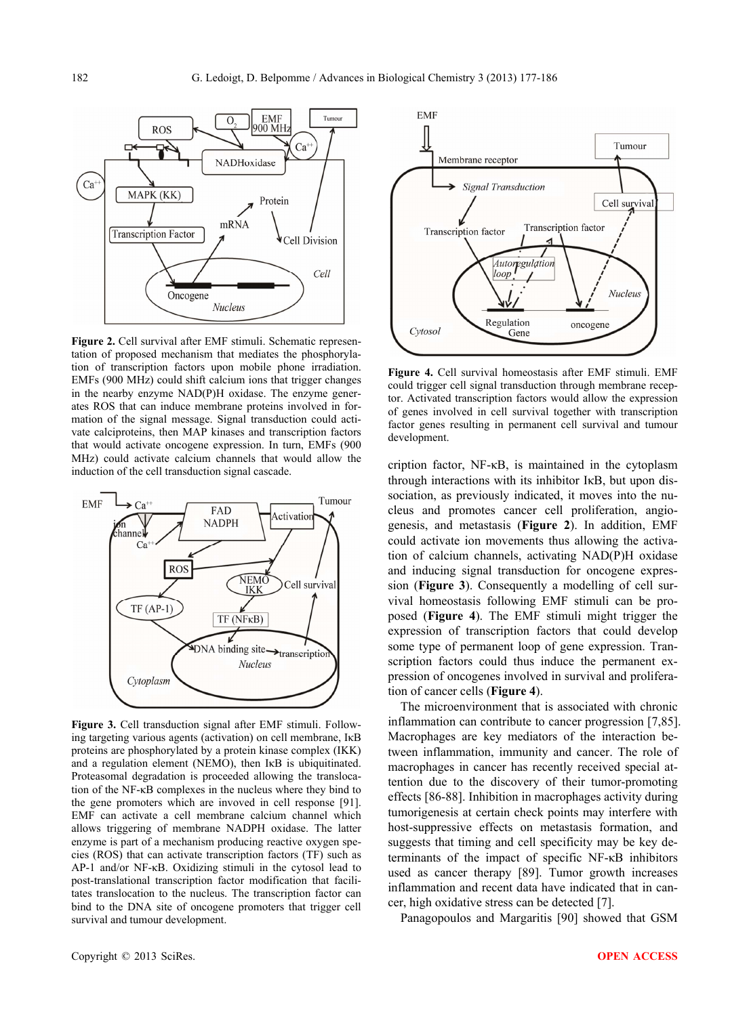

**Figure 2.** Cell survival after EMF stimuli. Schematic representation of proposed mechanism that mediates the phosphorylation of transcription factors upon mobile phone irradiation. EMFs (900 MHz) could shift calcium ions that trigger changes in the nearby enzyme NAD(P)H oxidase. The enzyme generates ROS that can induce membrane proteins involved in formation of the signal message. Signal transduction could activate calciproteins, then MAP kinases and transcription factors that would activate oncogene expression. In turn, EMFs (900 MHz) could activate calcium channels that would allow the induction of the cell transduction signal cascade.



**Figure 3.** Cell transduction signal after EMF stimuli. Following targeting various agents (activation) on cell membrane, IκB proteins are phosphorylated by a protein kinase complex (IKK) and a regulation element (NEMO), then IκB is ubiquitinated. Proteasomal degradation is proceeded allowing the translocation of the NF-κB complexes in the nucleus where they bind to the gene promoters which are invoved in cell response [91]. EMF can activate a cell membrane calcium channel which allows triggering of membrane NADPH oxidase. The latter enzyme is part of a mechanism producing reactive oxygen species (ROS) that can activate transcription factors (TF) such as AP-1 and/or NF-κB. Oxidizing stimuli in the cytosol lead to post-translational transcription factor modification that facilitates translocation to the nucleus. The transcription factor can bind to the DNA site of oncogene promoters that trigger cell survival and tumour development.



**Figure 4.** Cell survival homeostasis after EMF stimuli. EMF could trigger cell signal transduction through membrane receptor. Activated transcription factors would allow the expression of genes involved in cell survival together with transcription factor genes resulting in permanent cell survival and tumour development.

cription factor, NF-κB, is maintained in the cytoplasm through interactions with its inhibitor IκB, but upon dissociation, as previously indicated, it moves into the nucleus and promotes cancer cell proliferation, angiogenesis, and metastasis (**Figure 2**). In addition, EMF could activate ion movements thus allowing the activation of calcium channels, activating NAD(P)H oxidase and inducing signal transduction for oncogene expression (**Figure 3**). Consequently a modelling of cell survival homeostasis following EMF stimuli can be proposed (**Figure 4**). The EMF stimuli might trigger the expression of transcription factors that could develop some type of permanent loop of gene expression. Transcription factors could thus induce the permanent expression of oncogenes involved in survival and proliferation of cancer cells (**Figure 4**).

The microenvironment that is associated with chronic inflammation can contribute to cancer progression [7,85]. Macrophages are key mediators of the interaction between inflammation, immunity and cancer. The role of macrophages in cancer has recently received special attention due to the discovery of their tumor-promoting effects [86-88]. Inhibition in macrophages activity during tumorigenesis at certain check points may interfere with host-suppressive effects on metastasis formation, and suggests that timing and cell specificity may be key determinants of the impact of specific NF-κB inhibitors used as cancer therapy [89]. Tumor growth increases inflammation and recent data have indicated that in cancer, high oxidative stress can be detected [7].

Panagopoulos and Margaritis [90] showed that GSM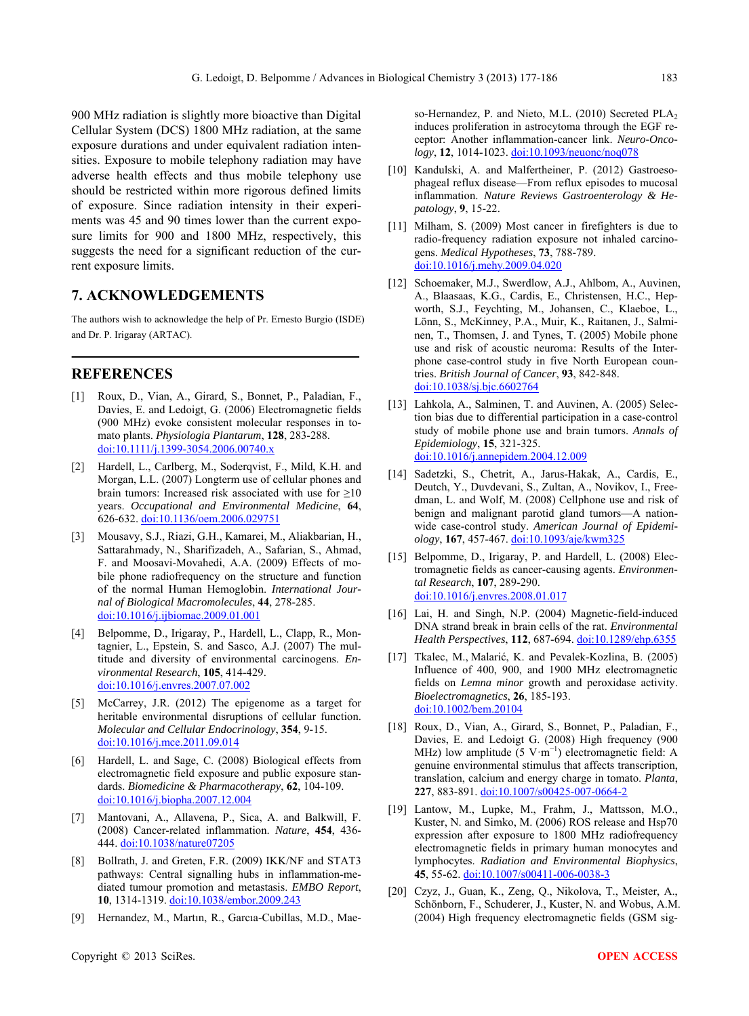900 MHz radiation is slightly more bioactive than Digital Cellular System (DCS) 1800 MHz radiation, at the same exposure durations and under equivalent radiation intensities. Exposure to mobile telephony radiation may have adverse health effects and thus mobile telephony use should be restricted within more rigorous defined limits of exposure. Since radiation intensity in their experiments was 45 and 90 times lower than the current exposure limits for 900 and 1800 MHz, respectively, this suggests the need for a significant reduction of the current exposure limits.

# **7. ACKNOWLEDGEMENTS**

The authors wish to acknowledge the help of Pr. Ernesto Burgio (ISDE) and Dr. P. Irigaray (ARTAC).

## **REFERENCES**

- [1] Roux, D., Vian, A., Girard, S., Bonnet, P., Paladian, F., Davies, E. and Ledoigt, G. (2006) Electromagnetic fields (900 MHz) evoke consistent molecular responses in tomato plants. *Physiologia Plantarum*, **128**, 283-288. [doi:10.1111/j.1399-3054.2006.00740.x](http://dx.doi.org/10.1111/j.1399-3054.2006.00740.x)
- [2] Hardell, L., Carlberg, M., Soderqvist, F., Mild, K.H. and Morgan, L.L. (2007) Longterm use of cellular phones and brain tumors: Increased risk associated with use for  $\geq 10$ years. *Occupational and Environmental Medicine*, **64**, 626-632. [doi:10.1136/oem.2006.029751](http://dx.doi.org/10.1136/oem.2006.029751)
- [3] Mousavy, S.J., Riazi, G.H., Kamarei, M., Aliakbarian, H., Sattarahmady, N., Sharifizadeh, A., Safarian, S., Ahmad, F. and Moosavi-Movahedi, A.A. (2009) Effects of mobile phone radiofrequency on the structure and function of the normal Human Hemoglobin. *International Journal of Biological Macromolecules*, **44**, 278-285. [doi:10.1016/j.ijbiomac.2009.01.001](http://dx.doi.org/10.1016/j.ijbiomac.2009.01.001)
- [4] Belpomme, D., Irigaray, P., Hardell, L., Clapp, R., Montagnier, L., Epstein, S. and Sasco, A.J. (2007) The multitude and diversity of environmental carcinogens. *Environmental Research*, **105**, 414-429. [doi:10.1016/j.envres.2007.07.002](http://dx.doi.org/10.1016/j.envres.2007.07.002)
- [5] McCarrey, J.R. (2012) The epigenome as a target for heritable environmental disruptions of cellular function. *Molecular and Cellular Endocrinology*, **354**, 9-15. [doi:10.1016/j.mce.2011.09.014](http://dx.doi.org/10.1016/j.mce.2011.09.014)
- [6] Hardell, L. and Sage, C. (2008) Biological effects from electromagnetic field exposure and public exposure standards. *Biomedicine & Pharmacotherapy*, **62**, 104-109. [doi:10.1016/j.biopha.2007.12.004](http://dx.doi.org/10.1016/j.biopha.2007.12.004)
- [7] Mantovani, A., Allavena, P., Sica, A. and Balkwill, F. (2008) Cancer-related inflammation. *Nature*, **454**, 436- 444. [doi:10.1038/nature07205](http://dx.doi.org/10.1038/nature07205)
- [8] Bollrath, J. and Greten, F.R. (2009) IKK/NF and STAT3 pathways: Central signalling hubs in inflammation-mediated tumour promotion and metastasis. *EMBO Report*, **10**, 1314-1319. [doi:10.1038/embor.2009.243](http://dx.doi.org/10.1038/embor.2009.243)
- [9] Hernandez, M., Martın, R., Garcıa-Cubillas, M.D., Mae-

so-Hernandez, P. and Nieto, M.L. (2010) Secreted PLA<sub>2</sub> induces proliferation in astrocytoma through the EGF receptor: Another inflammation-cancer link. *Neuro-Oncology*, **12**, 1014-1023. [doi:10.1093/neuonc/noq078](http://dx.doi.org/10.1093/neuonc/noq078)

- [10] Kandulski, A. and Malfertheiner, P. (2012) Gastroesophageal reflux disease—From reflux episodes to mucosal inflammation. *Nature Reviews Gastroenterology & Hepatology*, **9**, 15-22.
- [11] Milham, S. (2009) Most cancer in firefighters is due to radio-frequency radiation exposure not inhaled carcinogens. *Medical Hypotheses*, **73**, 788-789. [doi:10.1016/j.mehy.2009.04.020](http://dx.doi.org/10.1016/j.mehy.2009.04.020)
- [12] Schoemaker, M.J., Swerdlow, A.J., Ahlbom, A., Auvinen, A., Blaasaas, K.G., Cardis, E., Christensen, H.C., Hepworth, S.J., Feychting, M., Johansen, C., Klaeboe, L., Lönn, S., McKinney, P.A., Muir, K., Raitanen, J., Salminen, T., Thomsen, J. and Tynes, T. (2005) Mobile phone use and risk of acoustic neuroma: Results of the Interphone case-control study in five North European countries. *British Journal of Cancer*, **93**, 842-848. [doi:10.1038/sj.bjc.6602764](http://dx.doi.org/10.1038/sj.bjc.6602764)
- [13] Lahkola, A., Salminen, T. and Auvinen, A. (2005) Selection bias due to differential participation in a case-control study of mobile phone use and brain tumors. *Annals of Epidemiology*, **15**, 321-325. [doi:10.1016/j.annepidem.2004.12.009](http://dx.doi.org/10.1016/j.annepidem.2004.12.009)
- [14] Sadetzki, S., Chetrit, A., Jarus-Hakak, A., Cardis, E., Deutch, Y., Duvdevani, S., Zultan, A., Novikov, I., Freedman, L. and Wolf, M. (2008) Cellphone use and risk of benign and malignant parotid gland tumors—A nationwide case-control study. *American Journal of Epidemiology*, **167**, 457-467. [doi:10.1093/aje/kwm325](http://dx.doi.org/10.1093/aje/kwm325)
- [15] Belpomme, D., Irigaray, P. and Hardell, L. (2008) Electromagnetic fields as cancer-causing agents. *Environmental Research*, **107**, 289-290. [doi:10.1016/j.envres.2008.01.017](http://dx.doi.org/10.1016/j.envres.2008.01.017)
- [16] Lai, H. and Singh, N.P. (2004) Magnetic-field-induced DNA strand break in brain cells of the rat. *Environmental Health Perspectives*, **112**, 687-694. [doi:10.1289/ehp.6355](http://dx.doi.org/10.1289/ehp.6355)
- [17] Tkalec, M., Malarić, K. and Pevalek-Kozlina, B. (2005) Influence of 400, 900, and 1900 MHz electromagnetic fields on *Lemna minor* growth and peroxidase activity. *Bioelectromagnetics*, **26**, 185-193. [doi:10.1002/bem.20104](http://dx.doi.org/10.1002/bem.20104)
- [18] Roux, D., Vian, A., Girard, S., Bonnet, P., Paladian, F., Davies, E. and Ledoigt G. (2008) High frequency (900 MHz) low amplitude (5 V·m<sup>-1</sup>) electromagnetic field: A genuine environmental stimulus that affects transcription, translation, calcium and energy charge in tomato. *Planta*, **227**, 883-891. [doi:10.1007/s00425-007-0664-2](http://dx.doi.org/10.1007/s00425-007-0664-2)
- [19] Lantow, M., Lupke, M., Frahm, J., Mattsson, M.O., Kuster, N. and Simko, M. (2006) ROS release and Hsp70 expression after exposure to 1800 MHz radiofrequency electromagnetic fields in primary human monocytes and lymphocytes. *Radiation and Environmental Biophysics*, **45**, 55-62. [doi:10.1007/s00411-006-0038-3](http://dx.doi.org/10.1007/s00411-006-0038-3)
- [20] Czyz, J., Guan, K., Zeng, Q., Nikolova, T., Meister, A., Schönborn, F., Schuderer, J., Kuster, N. and Wobus, A.M. (2004) High frequency electromagnetic fields (GSM sig-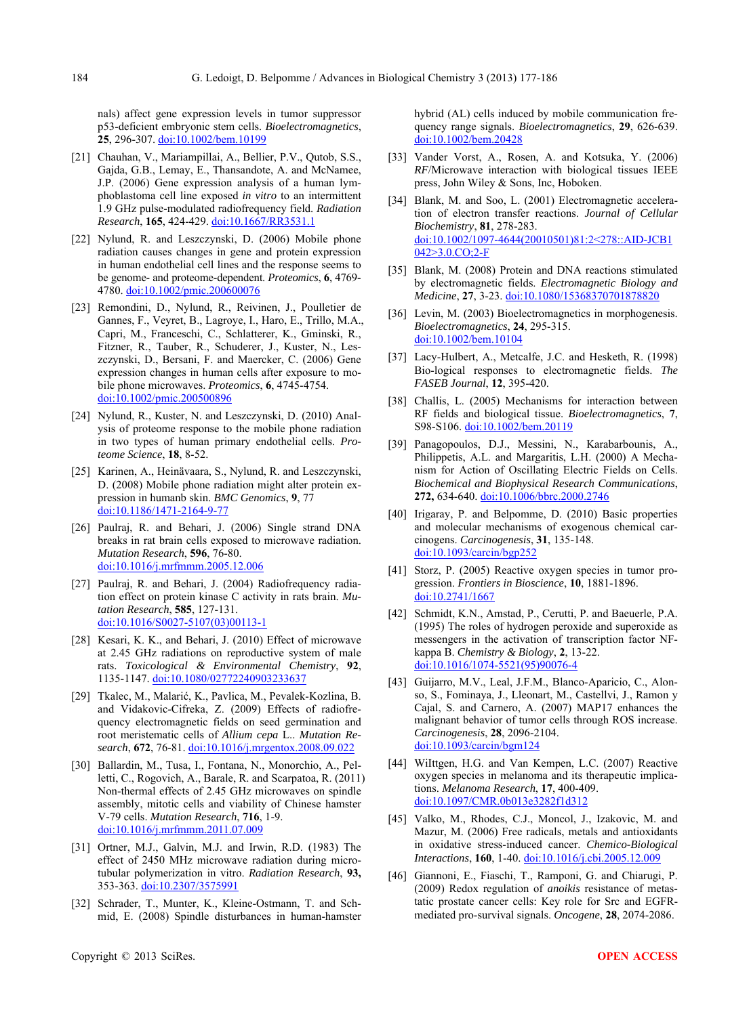nals) affect gene expression levels in tumor suppressor p53-deficient embryonic stem cells. *Bioelectromagnetics*, **25**, 296-307. doi:10.1002/bem.10199

- [21] Chauhan, V., Mariampillai, A., Bellier, P.V., Qutob, S.S., Gajda, G.B., Lemay, E., Thansandote, A. and McNamee, J.P. (2006) Gene expression analysis of a human lymphoblastoma cell line exposed *in vitro* to an intermittent 1.9 GHz pulse-modulated radiofrequency field. *Radiation Research*, **165**, 424-429. [doi:10.1667/RR3531.1](http://dx.doi.org/10.1667/RR3531.1)
- [22] Nylund, R. and Leszczynski, D. (2006) Mobile phone radiation causes changes in gene and protein expression in human endothelial cell lines and the response seems to be genome- and proteome-dependent. *Proteomics*, **6**, 4769- 4780. [doi:10.1002/pmic.200600076](http://dx.doi.org/10.1002/pmic.200600076)
- [23] Remondini, D., Nylund, R., Reivinen, J., Poulletier de Gannes, F., Veyret, B., Lagroye, I., Haro, E., Trillo, M.A., Capri, M., Franceschi, C., Schlatterer, K., Gminski, R., Fitzner, R., Tauber, R., Schuderer, J., Kuster, N., Leszczynski, D., Bersani, F. and Maercker, C. (2006) Gene expression changes in human cells after exposure to mobile phone microwaves. *Proteomics*, **6**, 4745-4754. [doi:10.1002/pmic.200500896](http://dx.doi.org/10.1002/pmic.200500896)
- [24] Nylund, R., Kuster, N. and Leszczynski, D. (2010) Analysis of proteome response to the mobile phone radiation in two types of human primary endothelial cells. *Proteome Science*, **18**, 8-52.
- [25] Karinen, A., Heinävaara, S., Nylund, R. and Leszczynski, D. (2008) Mobile phone radiation might alter protein expression in humanb skin. *BMC Genomics*, **9**, 77 [doi:10.1186/1471-2164-9-77](http://dx.doi.org/10.1186/1471-2164-9-77)
- [26] Paulraj, R. and Behari, J. (2006) Single strand DNA breaks in rat brain cells exposed to microwave radiation. *Mutation Research*, **596**, 76-80. [doi:10.1016/j.mrfmmm.2005.12.006](http://dx.doi.org/10.1016/j.mrfmmm.2005.12.006)
- [27] Paulraj, R. and Behari, J. (2004) Radiofrequency radiation effect on protein kinase C activity in rats brain. *Mutation Research*, **585**, 127-131. [doi:10.1016/S0027-5107\(03\)00113-1](http://dx.doi.org/10.1016/S0027-5107(03)00113-1)
- [28] Kesari, K. K., and Behari, J. (2010) Effect of microwave at 2.45 GHz radiations on reproductive system of male rats. *Toxicological & Environmental Chemistry*, **92**, 1135-1147. [doi:10.1080/02772240903233637](http://dx.doi.org/10.1080/02772240903233637)
- [29] Tkalec, M., Malarić, K., Pavlica, M., Pevalek-Kozlina, B. and Vidakovic-Cifreka, Z. (2009) Effects of radiofrequency electromagnetic fields on seed germination and root meristematic cells of *Allium cepa* L.. *Mutation Research*, **672**, 76-81. [doi:10.1016/j.mrgentox.2008.09.022](http://dx.doi.org/10.1016/j.mrgentox.2008.09.022)
- [30] Ballardin, M., Tusa, I., Fontana, N., Monorchio, A., Pelletti, C., Rogovich, A., Barale, R. and Scarpatoa, R. (2011) Non-thermal effects of 2.45 GHz microwaves on spindle assembly, mitotic cells and viability of Chinese hamster V-79 cells. *Mutation Research*, **716**, 1-9. [doi:10.1016/j.mrfmmm.2011.07.009](http://dx.doi.org/10.1016/j.mrfmmm.2011.07.009)
- [31] Ortner, M.J., Galvin, M.J. and Irwin, R.D. (1983) The effect of 2450 MHz microwave radiation during microtubular polymerization in vitro. *Radiation Research*, **93,**  353-363. [doi:10.2307/3575991](http://dx.doi.org/10.2307/3575991)
- [32] Schrader, T., Munter, K., Kleine-Ostmann, T. and Schmid, E. (2008) Spindle disturbances in human-hamster

hybrid (AL) cells induced by mobile communication frequency range signals. *Bioelectromagnetics*, **29**, 626-639. [doi:10.1002/bem.20428](http://dx.doi.org/10.1002/bem.20428)

- [33] Vander Vorst, A., Rosen, A. and Kotsuka, Y. (2006) *RF*/Microwave interaction with biological tissues IEEE press, John Wiley & Sons, Inc, Hoboken.
- [34] Blank, M. and Soo, L. (2001) Electromagnetic acceleration of electron transfer reactions. *Journal of Cellular Biochemistry*, **81**, 278-283. [doi:10.1002/1097-4644\(20010501\)81:2<278::AID-JCB1](http://dx.doi.org/10.1002/1097-4644(20010501)81:2%3c278::AID-JCB1042%3e3.0.CO;2-F) [042>3.0.CO;2-F](http://dx.doi.org/10.1002/1097-4644(20010501)81:2%3c278::AID-JCB1042%3e3.0.CO;2-F)
- [35] Blank, M. (2008) Protein and DNA reactions stimulated by electromagnetic fields. *Electromagnetic Biology and Medicine*, **27**, 3-23. [doi:10.1080/15368370701878820](http://dx.doi.org/10.1080/15368370701878820)
- [36] Levin, M. (2003) Bioelectromagnetics in morphogenesis. *Bioelectromagnetics*, **24**, 295-315. [doi:10.1002/bem.10104](http://dx.doi.org/10.1002/bem.10104)
- [37] Lacy-Hulbert, A., Metcalfe, J.C. and Hesketh, R. (1998) Bio-logical responses to electromagnetic fields. *The FASEB Journal*, **12**, 395-420.
- [38] Challis, L. (2005) Mechanisms for interaction between RF fields and biological tissue. *Bioelectromagnetics*, **7**, S98-S106. [doi:10.1002/bem.20119](http://dx.doi.org/10.1002/bem.20119)
- [39] Panagopoulos, D.J., Messini, N., Karabarbounis, A., Philippetis, A.L. and Margaritis, L.H. (2000) A Mechanism for Action of Oscillating Electric Fields on Cells. *Biochemical and Biophysical Research Communications*, **272,** 634-640. [doi:10.1006/bbrc.2000.2746](http://dx.doi.org/10.1006/bbrc.2000.2746)
- [40] Irigaray, P. and Belpomme, D. (2010) Basic properties and molecular mechanisms of exogenous chemical carcinogens. *Carcinogenesis*, **31**, 135-148. [doi:10.1093/carcin/bgp252](http://dx.doi.org/10.1093/carcin/bgp252)
- [41] Storz, P. (2005) Reactive oxygen species in tumor progression. *Frontiers in Bioscience*, **10**, 1881-1896. [doi:10.2741/1667](http://dx.doi.org/10.2741/1667)
- [42] Schmidt, K.N., Amstad, P., Cerutti, P. and Baeuerle, P.A. (1995) The roles of hydrogen peroxide and superoxide as messengers in the activation of transcription factor NFkappa B. *Chemistry & Biology*, **2**, 13-22. [doi:10.1016/1074-5521\(95\)90076-4](http://dx.doi.org/10.1016/1074-5521(95)90076-4)
- [43] Guijarro, M.V., Leal, J.F.M., Blanco-Aparicio, C., Alonso, S., Fominaya, J., Lleonart, M., Castellvi, J., Ramon y Cajal, S. and Carnero, A. (2007) MAP17 enhances the malignant behavior of tumor cells through ROS increase. *Carcinogenesis*, **28**, 2096-2104. [doi:10.1093/carcin/bgm124](http://dx.doi.org/10.1093/carcin/bgm124)
- [44] WiIttgen, H.G. and Van Kempen, L.C. (2007) Reactive oxygen species in melanoma and its therapeutic implications. *Melanoma Research*, **17**, 400-409. [doi:10.1097/CMR.0b013e3282f1d312](http://dx.doi.org/10.1097/CMR.0b013e3282f1d312)
- [45] Valko, M., Rhodes, C.J., Moncol, J., Izakovic, M. and Mazur, M. (2006) Free radicals, metals and antioxidants in oxidative stress-induced cancer. *Chemico-Biological Interactions*, **160**, 1-40. [doi:10.1016/j.cbi.2005.12.009](http://dx.doi.org/10.1016/j.cbi.2005.12.009)
- [46] Giannoni, E., Fiaschi, T., Ramponi, G. and Chiarugi, P. (2009) Redox regulation of *anoikis* resistance of metastatic prostate cancer cells: Key role for Src and EGFRmediated pro-survival signals. *Oncogene*, **28**, 2074-2086.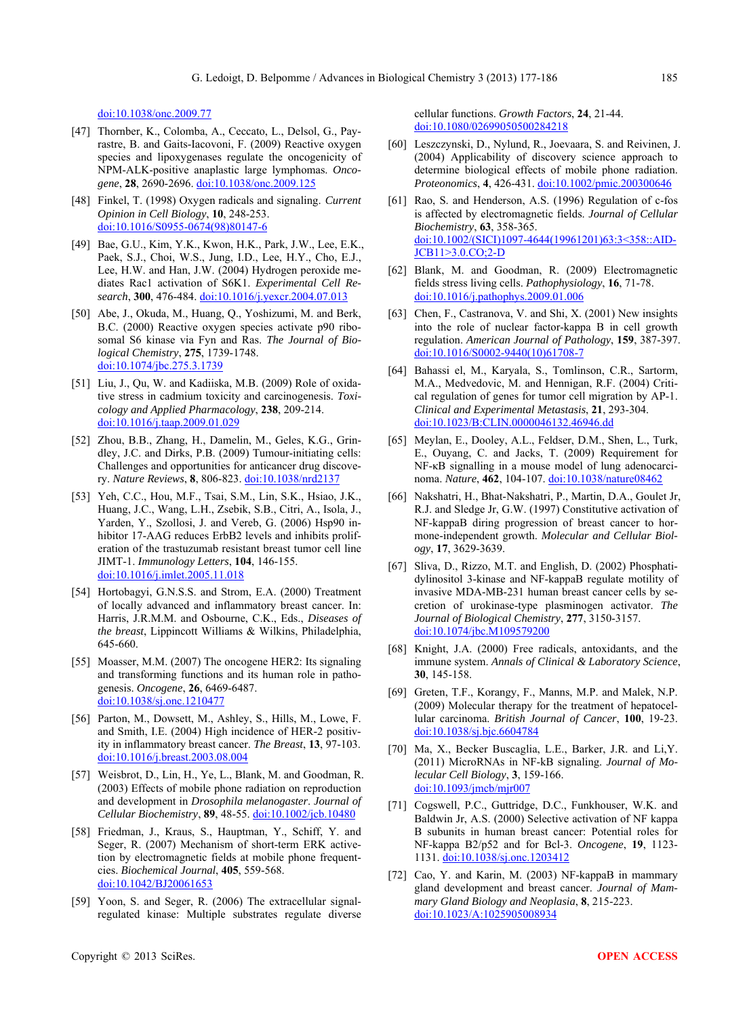doi:10.1038/onc.2009.77

- [47] Thornber, K., Colomba, A., Ceccato, L., Delsol, G., Payrastre, B. and Gaits-Iacovoni, F. (2009) Reactive oxygen species and lipoxygenases regulate the oncogenicity of NPM-ALK-positive anaplastic large lymphomas. *Oncogene*, **28**, 2690-2696. [doi:10.1038/onc.2009.125](http://dx.doi.org/10.1038/onc.2009.125)
- [48] Finkel, T. (1998) Oxygen radicals and signaling. *Current Opinion in Cell Biology*, **10**, 248-253. [doi:10.1016/S0955-0674\(98\)80147-6](http://dx.doi.org/10.1016/S0955-0674(98)80147-6)
- [49] Bae, G.U., Kim, Y.K., Kwon, H.K., Park, J.W., Lee, E.K., Paek, S.J., Choi, W.S., Jung, I.D., Lee, H.Y., Cho, E.J., Lee, H.W. and Han, J.W. (2004) Hydrogen peroxide mediates Rac1 activation of S6K1. *Experimental Cell Research*, **300**, 476-484. [doi:10.1016/j.yexcr.2004.07.013](http://dx.doi.org/10.1016/j.yexcr.2004.07.013)
- [50] Abe, J., Okuda, M., Huang, Q., Yoshizumi, M. and Berk, B.C. (2000) Reactive oxygen species activate p90 ribosomal S6 kinase via Fyn and Ras. *The Journal of Biological Chemistry*, **275**, 1739-1748. [doi:10.1074/jbc.275.3.1739](http://dx.doi.org/10.1074/jbc.275.3.1739)
- [51] Liu, J., Qu, W. and Kadiiska, M.B. (2009) Role of oxidative stress in cadmium toxicity and carcinogenesis. *Toxicology and Applied Pharmacology*, **238**, 209-214. [doi:10.1016/j.taap.2009.01.029](http://dx.doi.org/10.1016/j.taap.2009.01.029)
- [52] Zhou, B.B., Zhang, H., Damelin, M., Geles, K.G., Grindley, J.C. and Dirks, P.B. (2009) Tumour-initiating cells: Challenges and opportunities for anticancer drug discovery. *Nature Reviews*, **8**, 806-823. [doi:10.1038/nrd2137](http://dx.doi.org/10.1038/nrd2137)
- [53] Yeh, C.C., Hou, M.F., Tsai, S.M., Lin, S.K., Hsiao, J.K., Huang, J.C., Wang, L.H., Zsebik, S.B., Citri, A., Isola, J., Yarden, Y., Szollosi, J. and Vereb, G. (2006) Hsp90 inhibitor 17-AAG reduces ErbB2 levels and inhibits proliferation of the trastuzumab resistant breast tumor cell line JIMT-1. *Immunology Letters*, **104**, 146-155. [doi:10.1016/j.imlet.2005.11.018](http://dx.doi.org/10.1016/j.imlet.2005.11.018)
- [54] Hortobagyi, G.N.S.S. and Strom, E.A. (2000) Treatment of locally advanced and inflammatory breast cancer. In: Harris, J.R.M.M. and Osbourne, C.K., Eds., *Diseases of the breast*, Lippincott Williams & Wilkins, Philadelphia, 645-660.
- [55] Moasser, M.M. (2007) The oncogene HER2: Its signaling and transforming functions and its human role in pathogenesis. *Oncogene*, **26**, 6469-6487. [doi:10.1038/sj.onc.1210477](http://dx.doi.org/10.1038/sj.onc.1210477)
- [56] Parton, M., Dowsett, M., Ashley, S., Hills, M., Lowe, F. and Smith, I.E. (2004) High incidence of HER-2 positivity in inflammatory breast cancer. *The Breast*, **13**, 97-103. [doi:10.1016/j.breast.2003.08.004](http://dx.doi.org/10.1016/j.breast.2003.08.004)
- [57] Weisbrot, D., Lin, H., Ye, L., Blank, M. and Goodman, R. (2003) Effects of mobile phone radiation on reproduction and development in *Drosophila melanogaster*. *Journal of Cellular Biochemistry*, **89**, 48-55. [doi:10.1002/jcb.10480](http://dx.doi.org/10.1002/jcb.10480)
- [58] Friedman, J., Kraus, S., Hauptman, Y., Schiff, Y. and Seger, R. (2007) Mechanism of short-term ERK activetion by electromagnetic fields at mobile phone frequentcies. *Biochemical Journal*, **405**, 559-568. [doi:10.1042/BJ20061653](http://dx.doi.org/10.1042/BJ20061653)
- [59] Yoon, S. and Seger, R. (2006) The extracellular signalregulated kinase: Multiple substrates regulate diverse

cellular functions. *Growth Factors*, **24**, 21-44. [doi:10.1080/02699050500284218](http://dx.doi.org/10.1080/02699050500284218)

- [60] Leszczynski, D., Nylund, R., Joevaara, S. and Reivinen, J. (2004) Applicability of discovery science approach to determine biological effects of mobile phone radiation. *Proteonomics*, **4**, 426-431. [doi:10.1002/pmic.200300646](http://dx.doi.org/10.1002/pmic.200300646)
- [61] Rao, S. and Henderson, A.S. (1996) Regulation of c-fos is affected by electromagnetic fields. *Journal of Cellular Biochemistry*, **63**, 358-365. [doi:10.1002/\(SICI\)1097-4644\(19961201\)63:3<358::AID-](http://dx.doi.org/10.1002/(SICI)1097-4644(19961201)63:3%3c358::AID-JCB11%3e3.0.CO;2-D)[JCB11>3.0.CO;2-D](http://dx.doi.org/10.1002/(SICI)1097-4644(19961201)63:3%3c358::AID-JCB11%3e3.0.CO;2-D)
- [62] Blank, M. and Goodman, R. (2009) Electromagnetic fields stress living cells. *Pathophysiology*, **16**, 71-78. [doi:10.1016/j.pathophys.2009.01.006](http://dx.doi.org/10.1016/j.pathophys.2009.01.006)
- [63] Chen, F., Castranova, V. and Shi, X. (2001) New insights into the role of nuclear factor-kappa B in cell growth regulation. *American Journal of Pathology*, **159**, 387-397. [doi:10.1016/S0002-9440\(10\)61708-7](http://dx.doi.org/10.1016/S0002-9440(10)61708-7)
- [64] Bahassi el, M., Karyala, S., Tomlinson, C.R., Sartorm, M.A., Medvedovic, M. and Hennigan, R.F. (2004) Critical regulation of genes for tumor cell migration by AP-1. *Clinical and Experimental Metastasis*, **21**, 293-304. [doi:10.1023/B:CLIN.0000046132.46946.dd](http://dx.doi.org/10.1023/B:CLIN.0000046132.46946.dd)
- [65] Meylan, E., Dooley, A.L., Feldser, D.M., Shen, L., Turk, E., Ouyang, C. and Jacks, T. (2009) Requirement for NF-κB signalling in a mouse model of lung adenocarcinoma. *Nature*, **462**, 104-107. [doi:10.1038/nature08462](http://dx.doi.org/10.1038/nature08462)
- [66] Nakshatri, H., Bhat-Nakshatri, P., Martin, D.A., Goulet Jr, R.J. and Sledge Jr, G.W. (1997) Constitutive activation of NF-kappaB diring progression of breast cancer to hormone-independent growth. *Molecular and Cellular Biology*, **17**, 3629-3639.
- [67] Sliva, D., Rizzo, M.T. and English, D. (2002) Phosphatidylinositol 3-kinase and NF-kappaB regulate motility of invasive MDA-MB-231 human breast cancer cells by secretion of urokinase-type plasminogen activator. *The Journal of Biological Chemistry*, **277**, 3150-3157. [doi:10.1074/jbc.M109579200](http://dx.doi.org/10.1074/jbc.M109579200)
- [68] Knight, J.A. (2000) Free radicals, antoxidants, and the immune system. *Annals of Clinical & Laboratory Science*, **30**, 145-158.
- [69] Greten, T.F., Korangy, F., Manns, M.P. and Malek, N.P. (2009) Molecular therapy for the treatment of hepatocellular carcinoma. *British Journal of Cancer*, **100**, 19-23. [doi:10.1038/sj.bjc.6604784](http://dx.doi.org/10.1038/sj.bjc.6604784)
- [70] Ma, X., Becker Buscaglia, L.E., Barker, J.R. and Li,Y. (2011) MicroRNAs in NF-kB signaling. *Journal of Molecular Cell Biology*, **3**, 159-166. [doi:10.1093/jmcb/mjr007](http://dx.doi.org/10.1093/jmcb/mjr007)
- [71] Cogswell, P.C., Guttridge, D.C., Funkhouser, W.K. and Baldwin Jr, A.S. (2000) Selective activation of NF kappa B subunits in human breast cancer: Potential roles for NF-kappa B2/p52 and for Bcl-3. *Oncogene*, **19**, 1123- 1131. [doi:10.1038/sj.onc.1203412](http://dx.doi.org/10.1038/sj.onc.1203412)
- [72] Cao, Y. and Karin, M. (2003) NF-kappaB in mammary gland development and breast cancer. *Journal of Mammary Gland Biology and Neoplasia*, **8**, 215-223. [doi:10.1023/A:1025905008934](http://dx.doi.org/10.1023/A:1025905008934)